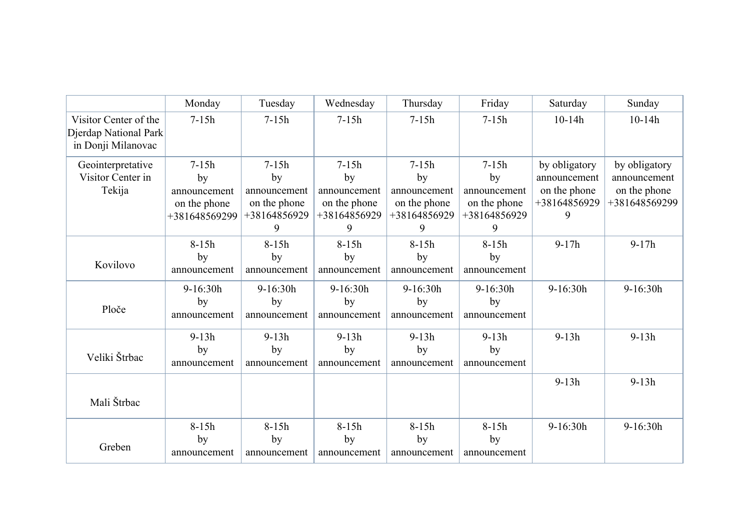|                                                | Monday        | Tuesday      | Wednesday    | Thursday     | Friday       | Saturday      | Sunday        |
|------------------------------------------------|---------------|--------------|--------------|--------------|--------------|---------------|---------------|
| Visitor Center of the<br>Djerdap National Park | $7 - 15h$     | $7 - 15h$    | $7 - 15h$    | $7 - 15h$    | $7 - 15h$    | $10-14h$      | $10-14h$      |
| in Donji Milanovac                             |               |              |              |              |              |               |               |
| Geointerpretative                              | $7-15h$       | $7-15h$      | $7-15h$      | $7-15h$      | $7 - 15h$    | by obligatory | by obligatory |
| Visitor Center in                              | by            | by           | by           | by           | by           | announcement  | announcement  |
| Tekija                                         | announcement  | announcement | announcement | announcement | announcement | on the phone  | on the phone  |
|                                                | on the phone  | on the phone | on the phone | on the phone | on the phone | +38164856929  | +381648569299 |
|                                                | +381648569299 | +38164856929 | +38164856929 | +38164856929 | +38164856929 | 9             |               |
|                                                |               | 9            | 9            | 9            | 9            |               |               |
|                                                | $8-15h$       | $8-15h$      | $8-15h$      | $8-15h$      | $8-15h$      | $9-17h$       | $9-17h$       |
|                                                | by            | by           | by           | by           | by           |               |               |
| Kovilovo                                       | announcement  | announcement | announcement | announcement | announcement |               |               |
|                                                | 9-16:30h      | $9-16:30h$   | $9-16:30h$   | $9-16:30h$   | $9-16:30h$   | $9-16:30h$    | 9-16:30h      |
| Ploče                                          | by            | by           | by           | by           | by           |               |               |
|                                                | announcement  | announcement | announcement | announcement | announcement |               |               |
|                                                | $9-13h$       | $9-13h$      | $9-13h$      | $9-13h$      | $9-13h$      | $9-13h$       | $9-13h$       |
|                                                | by            | by           | by           | by           | by           |               |               |
| Veliki Štrbac                                  | announcement  | announcement | announcement | announcement | announcement |               |               |
|                                                |               |              |              |              |              | $9-13h$       | $9-13h$       |
| Mali Štrbac                                    |               |              |              |              |              |               |               |
|                                                | $8-15h$       | $8-15h$      | $8-15h$      | $8-15h$      | $8-15h$      | 9-16:30h      | 9-16:30h      |
|                                                | by            | by           | by           | by           | by           |               |               |
| Greben                                         | announcement  | announcement | announcement | announcement | announcement |               |               |